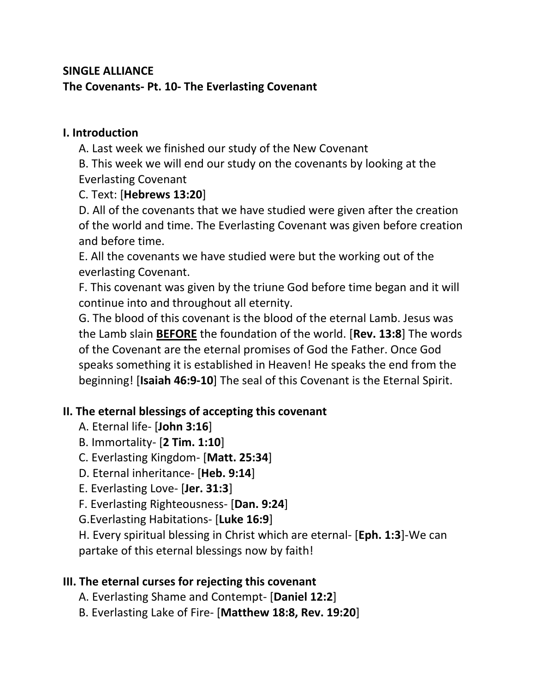## **SINGLE ALLIANCE The Covenants- Pt. 10- The Everlasting Covenant**

#### **I. Introduction**

A. Last week we finished our study of the New Covenant

B. This week we will end our study on the covenants by looking at the Everlasting Covenant

C. Text: [**Hebrews 13:20**]

D. All of the covenants that we have studied were given after the creation of the world and time. The Everlasting Covenant was given before creation and before time.

E. All the covenants we have studied were but the working out of the everlasting Covenant.

F. This covenant was given by the triune God before time began and it will continue into and throughout all eternity.

G. The blood of this covenant is the blood of the eternal Lamb. Jesus was the Lamb slain **BEFORE** the foundation of the world. [**Rev. 13:8**] The words of the Covenant are the eternal promises of God the Father. Once God speaks something it is established in Heaven! He speaks the end from the beginning! [**Isaiah 46:9-10**] The seal of this Covenant is the Eternal Spirit.

# **II. The eternal blessings of accepting this covenant**

- A. Eternal life- [**John 3:16**]
- B. Immortality- [**2 Tim. 1:10**]
- C. Everlasting Kingdom- [**Matt. 25:34**]
- D. Eternal inheritance- [**Heb. 9:14**]
- E. Everlasting Love- [**Jer. 31:3**]
- F. Everlasting Righteousness- [**Dan. 9:24**]
- G.Everlasting Habitations- [**Luke 16:9**]

H. Every spiritual blessing in Christ which are eternal- [**Eph. 1:3**]-We can partake of this eternal blessings now by faith!

### **III. The eternal curses for rejecting this covenant**

- A. Everlasting Shame and Contempt- [**Daniel 12:2**]
- B. Everlasting Lake of Fire- [**Matthew 18:8, Rev. 19:20**]